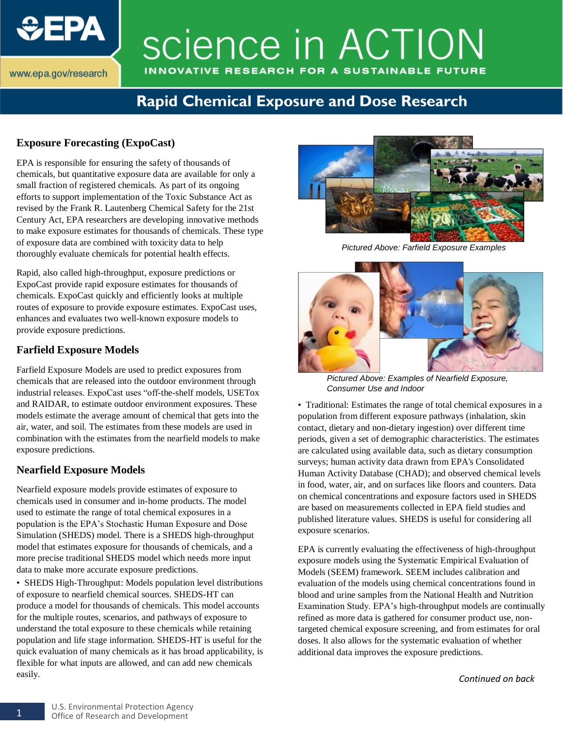

# science in ACTION INNOVATIVE RESEARCH FOR A SUSTAINABLE FUTURE

### **Rapid Chemical Exposure and Dose Research**

#### **Exposure Forecasting (ExpoCast)**

EPA is responsible for ensuring the safety of thousands of chemicals, but quantitative exposure data are available for only a small fraction of registered chemicals. As part of its ongoing efforts to support implementation of the Toxic Substance Act as revised by the Frank R. Lautenberg Chemical Safety for the 21st Century Act, EPA researchers are developing innovative methods to make exposure estimates for thousands of chemicals. These type of exposure data are combined with toxicity data to help thoroughly evaluate chemicals for potential health effects.

Rapid, also called high-throughput, exposure predictions or ExpoCast provide rapid exposure estimates for thousands of chemicals. ExpoCast quickly and efficiently looks at multiple routes of exposure to provide exposure estimates. ExpoCast uses, enhances and evaluates two well-known exposure models to provide exposure predictions.

#### **Farfield Exposure Models**

Farfield Exposure Models are used to predict exposures from chemicals that are released into the outdoor environment through industrial releases. ExpoCast uses "off-the-shelf models, USETox and RAIDAR, to estimate outdoor environment exposures. These models estimate the average amount of chemical that gets into the air, water, and soil. The estimates from these models are used in combination with the estimates from the nearfield models to make exposure predictions.

#### **Nearfield Exposure Models**

Nearfield exposure models provide estimates of exposure to chemicals used in consumer and in-home products. The model used to estimate the range of total chemical exposures in a population is the EPA's Stochastic Human Exposure and Dose Simulation (SHEDS) model. There is a SHEDS high-throughput model that estimates exposure for thousands of chemicals, and a more precise traditional SHEDS model which needs more input data to make more accurate exposure predictions.

• SHEDS High-Throughput: Models population level distributions of exposure to nearfield chemical sources. SHEDS-HT can produce a model for thousands of chemicals. This model accounts for the multiple routes, scenarios, and pathways of exposure to understand the total exposure to these chemicals while retaining population and life stage information. SHEDS-HT is useful for the quick evaluation of many chemicals as it has broad applicability, is flexible for what inputs are allowed, and can add new chemicals easily.



*Pictured Above: Farfield Exposure Examples*



*Pictured Above: Examples of Nearfield Exposure, Consumer Use and Indoor*

• Traditional: Estimates the range of total chemical exposures in a population from different exposure pathways (inhalation, skin contact, dietary and non-dietary ingestion) over different time periods, given a set of demographic characteristics. The estimates are calculated using available data, such as dietary consumption surveys; human activity data drawn from EPA's Consolidated Human Activity Database (CHAD); and observed chemical levels in food, water, air, and on surfaces like floors and counters. Data on chemical concentrations and exposure factors used in SHEDS are based on measurements collected in EPA field studies and published literature values. SHEDS is useful for considering all exposure scenarios.

EPA is currently evaluating the effectiveness of high-throughput exposure models using the Systematic Empirical Evaluation of Models (SEEM) framework. SEEM includes calibration and evaluation of the models using chemical concentrations found in blood and urine samples from the National Health and Nutrition Examination Study. EPA's high-throughput models are continually refined as more data is gathered for consumer product use, nontargeted chemical exposure screening, and from estimates for oral doses. It also allows for the systematic evaluation of whether additional data improves the exposure predictions.